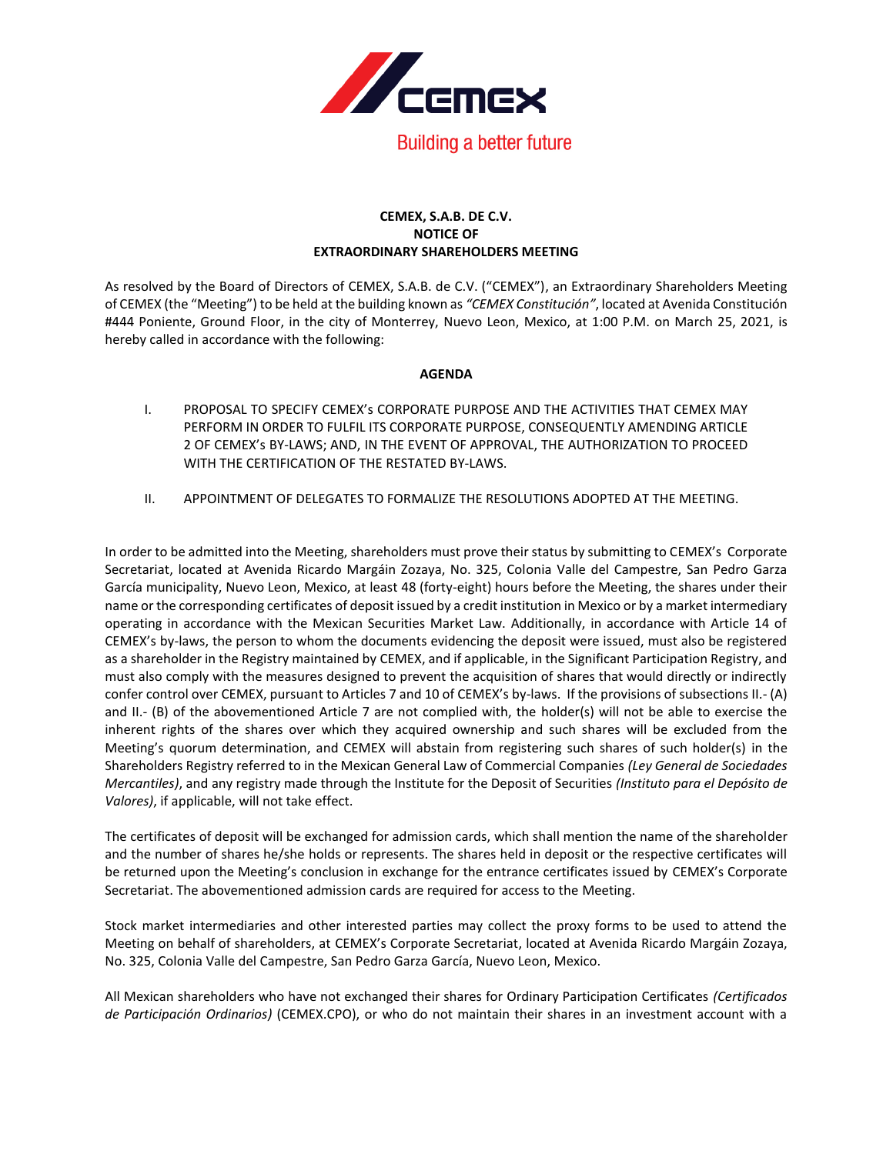

## **CEMEX, S.A.B. DE C.V. NOTICE OF EXTRAORDINARY SHAREHOLDERS MEETING**

As resolved by the Board of Directors of CEMEX, S.A.B. de C.V. ("CEMEX"), an Extraordinary Shareholders Meeting of CEMEX (the "Meeting") to be held at the building known as *"CEMEX Constitución"*, located at Avenida Constitución #444 Poniente, Ground Floor, in the city of Monterrey, Nuevo Leon, Mexico, at 1:00 P.M. on March 25, 2021, is hereby called in accordance with the following:

## **AGENDA**

- I. PROPOSAL TO SPECIFY CEMEX's CORPORATE PURPOSE AND THE ACTIVITIES THAT CEMEX MAY PERFORM IN ORDER TO FULFIL ITS CORPORATE PURPOSE, CONSEQUENTLY AMENDING ARTICLE 2 OF CEMEX's BY-LAWS; AND, IN THE EVENT OF APPROVAL, THE AUTHORIZATION TO PROCEED WITH THE CERTIFICATION OF THE RESTATED BY-LAWS.
- II. APPOINTMENT OF DELEGATES TO FORMALIZE THE RESOLUTIONS ADOPTED AT THE MEETING.

In order to be admitted into the Meeting, shareholders must prove their status by submitting to CEMEX's Corporate Secretariat, located at Avenida Ricardo Margáin Zozaya, No. 325, Colonia Valle del Campestre, San Pedro Garza García municipality, Nuevo Leon, Mexico, at least 48 (forty-eight) hours before the Meeting, the shares under their name or the corresponding certificates of deposit issued by a credit institution in Mexico or by a market intermediary operating in accordance with the Mexican Securities Market Law. Additionally, in accordance with Article 14 of CEMEX's by-laws, the person to whom the documents evidencing the deposit were issued, must also be registered as a shareholder in the Registry maintained by CEMEX, and if applicable, in the Significant Participation Registry, and must also comply with the measures designed to prevent the acquisition of shares that would directly or indirectly confer control over CEMEX, pursuant to Articles 7 and 10 of CEMEX's by-laws. If the provisions of subsections II.- (A) and II.- (B) of the abovementioned Article 7 are not complied with, the holder(s) will not be able to exercise the inherent rights of the shares over which they acquired ownership and such shares will be excluded from the Meeting's quorum determination, and CEMEX will abstain from registering such shares of such holder(s) in the Shareholders Registry referred to in the Mexican General Law of Commercial Companies *(Ley General de Sociedades Mercantiles)*, and any registry made through the Institute for the Deposit of Securities *(Instituto para el Depósito de Valores)*, if applicable, will not take effect.

The certificates of deposit will be exchanged for admission cards, which shall mention the name of the shareholder and the number of shares he/she holds or represents. The shares held in deposit or the respective certificates will be returned upon the Meeting's conclusion in exchange for the entrance certificates issued by CEMEX's Corporate Secretariat. The abovementioned admission cards are required for access to the Meeting.

Stock market intermediaries and other interested parties may collect the proxy forms to be used to attend the Meeting on behalf of shareholders, at CEMEX's Corporate Secretariat, located at Avenida Ricardo Margáin Zozaya, No. 325, Colonia Valle del Campestre, San Pedro Garza García, Nuevo Leon, Mexico.

All Mexican shareholders who have not exchanged their shares for Ordinary Participation Certificates *(Certificados de Participación Ordinarios)* (CEMEX.CPO), or who do not maintain their shares in an investment account with a